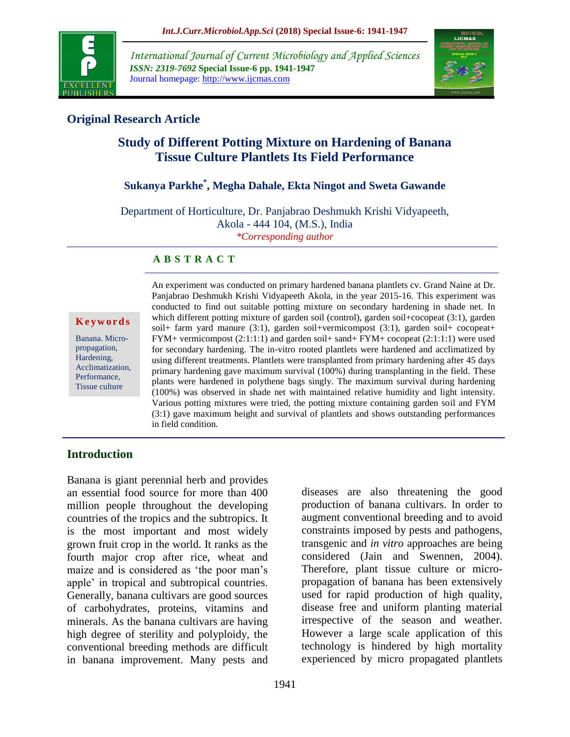

*International Journal of Current Microbiology and Applied Sciences ISSN: 2319-7692* **Special Issue-6 pp. 1941-1947** Journal homepage: http://www.ijcmas.com



# **Original Research Article**

# **Study of Different Potting Mixture on Hardening of Banana Tissue Culture Plantlets Its Field Performance**

# **Sukanya Parkhe\* , Megha Dahale, Ekta Ningot and Sweta Gawande**

Department of Horticulture, Dr. Panjabrao Deshmukh Krishi Vidyapeeth, Akola - 444 104, (M.S.), India *\*Corresponding author*

#### **A B S T R A C T**

#### **K e y w o r d s**

Banana. Micropropagation, Hardening, Acclimatization, Performance, Tissue culture

An experiment was conducted on primary hardened banana plantlets cv. Grand Naine at Dr. Panjabrao Deshmukh Krishi Vidyapeeth Akola, in the year 2015-16. This experiment was conducted to find out suitable potting mixture on secondary hardening in shade net. In which different potting mixture of garden soil (control), garden soil+cocopeat (3:1), garden soil+ farm yard manure (3:1), garden soil+vermicompost (3:1), garden soil+ cocopeat+ FYM+ vermicompost (2:1:1:1) and garden soil+ sand+ FYM+ cocopeat (2:1:1:1) were used for secondary hardening. The in-vitro rooted plantlets were hardened and acclimatized by using different treatments. Plantlets were transplanted from primary hardening after 45 days primary hardening gave maximum survival (100%) during transplanting in the field. These plants were hardened in polythene bags singly. The maximum survival during hardening (100%) was observed in shade net with maintained relative humidity and light intensity. Various potting mixtures were tried, the potting mixture containing garden soil and FYM (3:1) gave maximum height and survival of plantlets and shows outstanding performances in field condition.

## **Introduction**

Banana is giant perennial herb and provides an essential food source for more than 400 million people throughout the developing countries of the tropics and the subtropics. It is the most important and most widely grown fruit crop in the world. It ranks as the fourth major crop after rice, wheat and maize and is considered as 'the poor man's apple' in tropical and subtropical countries. Generally, banana cultivars are good sources of carbohydrates, proteins, vitamins and minerals. As the banana cultivars are having high degree of sterility and polyploidy, the conventional breeding methods are difficult in banana improvement. Many pests and

diseases are also threatening the good production of banana cultivars. In order to augment conventional breeding and to avoid constraints imposed by pests and pathogens, transgenic and *in vitro* approaches are being considered (Jain and Swennen, 2004). Therefore, plant tissue culture or micropropagation of banana has been extensively used for rapid production of high quality, disease free and uniform planting material irrespective of the season and weather. However a large scale application of this technology is hindered by high mortality experienced by micro propagated plantlets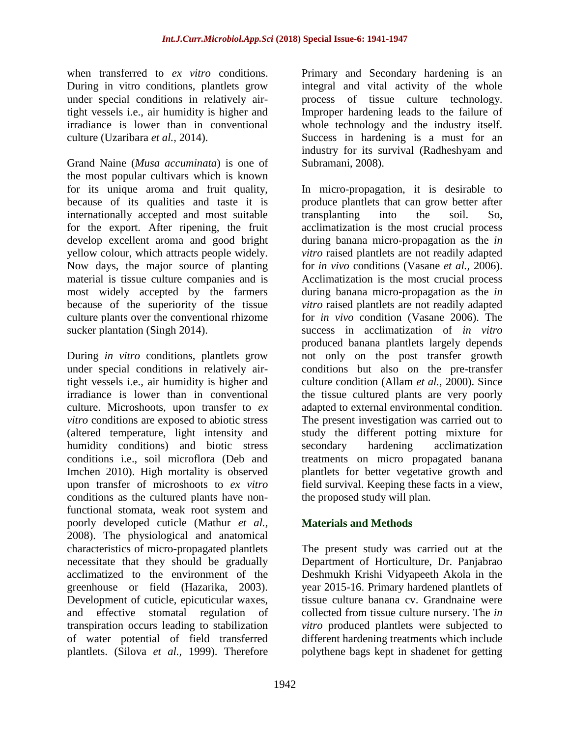when transferred to *ex vitro* conditions. During in vitro conditions, plantlets grow under special conditions in relatively airtight vessels i.e., air humidity is higher and irradiance is lower than in conventional culture (Uzaribara *et al.,* 2014).

Grand Naine (*Musa accuminata*) is one of the most popular cultivars which is known for its unique aroma and fruit quality, because of its qualities and taste it is internationally accepted and most suitable for the export. After ripening, the fruit develop excellent aroma and good bright yellow colour, which attracts people widely. Now days, the major source of planting material is tissue culture companies and is most widely accepted by the farmers because of the superiority of the tissue culture plants over the conventional rhizome sucker plantation (Singh 2014).

During *in vitro* conditions, plantlets grow under special conditions in relatively airtight vessels i.e., air humidity is higher and irradiance is lower than in conventional culture. Microshoots, upon transfer to *ex vitro* conditions are exposed to abiotic stress (altered temperature, light intensity and humidity conditions) and biotic stress conditions i.e., soil microflora (Deb and Imchen 2010). High mortality is observed upon transfer of microshoots to *ex vitro* conditions as the cultured plants have nonfunctional stomata, weak root system and poorly developed cuticle (Mathur *et al.,* 2008). The physiological and anatomical characteristics of micro-propagated plantlets necessitate that they should be gradually acclimatized to the environment of the greenhouse or field (Hazarika, 2003). Development of cuticle, epicuticular waxes, and effective stomatal regulation of transpiration occurs leading to stabilization of water potential of field transferred plantlets. (Silova *et al.,* 1999). Therefore

Primary and Secondary hardening is an integral and vital activity of the whole process of tissue culture technology. Improper hardening leads to the failure of whole technology and the industry itself. Success in hardening is a must for an industry for its survival (Radheshyam and Subramani, 2008).

In micro-propagation, it is desirable to produce plantlets that can grow better after transplanting into the soil. So, acclimatization is the most crucial process during banana micro-propagation as the *in vitro* raised plantlets are not readily adapted for *in vivo* conditions (Vasane *et al.,* 2006). Acclimatization is the most crucial process during banana micro-propagation as the *in vitro* raised plantlets are not readily adapted for *in vivo* condition (Vasane 2006). The success in acclimatization of *in vitro* produced banana plantlets largely depends not only on the post transfer growth conditions but also on the pre-transfer culture condition (Allam *et al.,* 2000). Since the tissue cultured plants are very poorly adapted to external environmental condition. The present investigation was carried out to study the different potting mixture for secondary hardening acclimatization treatments on micro propagated banana plantlets for better vegetative growth and field survival. Keeping these facts in a view, the proposed study will plan.

## **Materials and Methods**

The present study was carried out at the Department of Horticulture, Dr. Panjabrao Deshmukh Krishi Vidyapeeth Akola in the year 2015-16. Primary hardened plantlets of tissue culture banana cv. Grandnaine were collected from tissue culture nursery. The *in vitro* produced plantlets were subjected to different hardening treatments which include polythene bags kept in shadenet for getting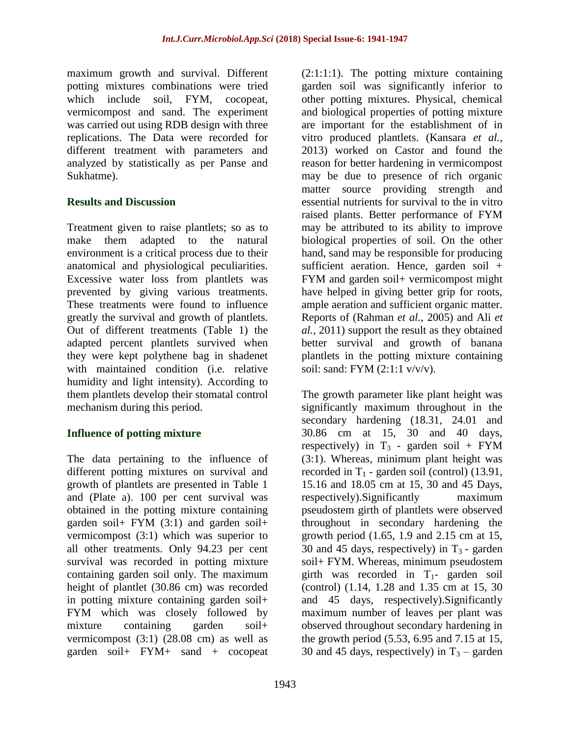maximum growth and survival. Different potting mixtures combinations were tried which include soil, FYM, cocopeat, vermicompost and sand. The experiment was carried out using RDB design with three replications. The Data were recorded for different treatment with parameters and analyzed by statistically as per Panse and Sukhatme).

### **Results and Discussion**

Treatment given to raise plantlets; so as to make them adapted to the natural environment is a critical process due to their anatomical and physiological peculiarities. Excessive water loss from plantlets was prevented by giving various treatments. These treatments were found to influence greatly the survival and growth of plantlets. Out of different treatments (Table 1) the adapted percent plantlets survived when they were kept polythene bag in shadenet with maintained condition (i.e. relative humidity and light intensity). According to them plantlets develop their stomatal control mechanism during this period.

## **Influence of potting mixture**

The data pertaining to the influence of different potting mixtures on survival and growth of plantlets are presented in Table 1 and (Plate a). 100 per cent survival was obtained in the potting mixture containing garden soil+ FYM (3:1) and garden soil+ vermicompost (3:1) which was superior to all other treatments. Only 94.23 per cent survival was recorded in potting mixture containing garden soil only. The maximum height of plantlet (30.86 cm) was recorded in potting mixture containing garden soil+ FYM which was closely followed by mixture containing garden soil+ vermicompost (3:1) (28.08 cm) as well as garden soil+ FYM+ sand + cocopeat

(2:1:1:1). The potting mixture containing garden soil was significantly inferior to other potting mixtures. Physical, chemical and biological properties of potting mixture are important for the establishment of in vitro produced plantlets. (Kansara *et al.,* 2013) worked on Castor and found the reason for better hardening in vermicompost may be due to presence of rich organic matter source providing strength and essential nutrients for survival to the in vitro raised plants. Better performance of FYM may be attributed to its ability to improve biological properties of soil. On the other hand, sand may be responsible for producing sufficient aeration. Hence, garden soil + FYM and garden soil+ vermicompost might have helped in giving better grip for roots, ample aeration and sufficient organic matter. Reports of (Rahman *et al.,* 2005) and Ali *et al.,* 2011) support the result as they obtained better survival and growth of banana plantlets in the potting mixture containing soil: sand: FYM (2:1:1 v/v/v).

The growth parameter like plant height was significantly maximum throughout in the secondary hardening  $(18.31, 24.01, and)$ 30.86 cm at 15, 30 and 40 days, respectively) in  $T_3$  - garden soil + FYM (3:1). Whereas, minimum plant height was recorded in  $T_1$  - garden soil (control) (13.91, 15.16 and 18.05 cm at 15, 30 and 45 Days, respectively).Significantly maximum pseudostem girth of plantlets were observed throughout in secondary hardening the growth period (1.65, 1.9 and 2.15 cm at 15, 30 and 45 days, respectively) in  $T_3$  - garden soil+ FYM. Whereas, minimum pseudostem girth was recorded in  $T_1$ - garden soil (control) (1.14, 1.28 and 1.35 cm at 15, 30 and 45 days, respectively).Significantly maximum number of leaves per plant was observed throughout secondary hardening in the growth period (5.53, 6.95 and 7.15 at 15, 30 and 45 days, respectively) in  $T_3$  – garden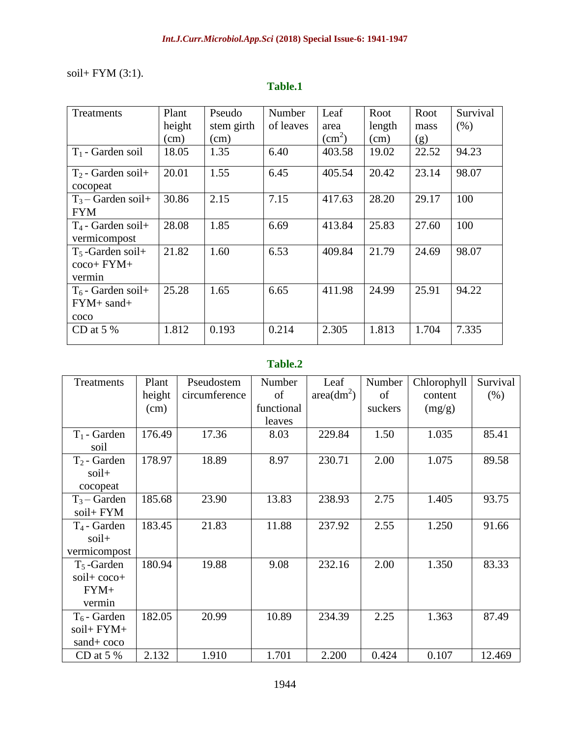# soil+ FYM (3:1).

| Treatments                                     | Plant  | Pseudo     | Number    | Leaf                   | Root   | Root  | Survival |
|------------------------------------------------|--------|------------|-----------|------------------------|--------|-------|----------|
|                                                | height | stem girth | of leaves | area                   | length | mass  | (% )     |
|                                                | (cm)   | (cm)       |           | $\text{(cm}^2\text{)}$ | (cm)   | (g)   |          |
| $T_1$ - Garden soil                            | 18.05  | 1.35       | 6.40      | 403.58                 | 19.02  | 22.52 | 94.23    |
| $T_2$ - Garden soil+<br>cocopeat               | 20.01  | 1.55       | 6.45      | 405.54                 | 20.42  | 23.14 | 98.07    |
| $T_3$ – Garden soil+<br><b>FYM</b>             | 30.86  | 2.15       | 7.15      | 417.63                 | 28.20  | 29.17 | 100      |
| $T_4$ - Garden soil+<br>vermicompost           | 28.08  | 1.85       | 6.69      | 413.84                 | 25.83  | 27.60 | 100      |
| $T_5$ -Garden soil+<br>$\cos$ FYM+<br>vermin   | 21.82  | 1.60       | 6.53      | 409.84                 | 21.79  | 24.69 | 98.07    |
| $T_6$ - Garden soil+<br>$FYM + sand +$<br>coco | 25.28  | 1.65       | 6.65      | 411.98                 | 24.99  | 25.91 | 94.22    |
| CD at $5%$                                     | 1.812  | 0.193      | 0.214     | 2.305                  | 1.813  | 1.704 | 7.335    |

# **Table.1**

### **Table.2**

| Treatments     | Plant  | Pseudostem    | Number     | Leaf         | Number  | Chlorophyll | Survival |
|----------------|--------|---------------|------------|--------------|---------|-------------|----------|
|                | height | circumference | of         | $area(dm^2)$ | of      | content     | (% )     |
|                | (cm)   |               | functional |              | suckers | (mg/g)      |          |
|                |        |               | leaves     |              |         |             |          |
| $T_1$ - Garden | 176.49 | 17.36         | 8.03       | 229.84       | 1.50    | 1.035       | 85.41    |
| soil           |        |               |            |              |         |             |          |
| $T_2$ - Garden | 178.97 | 18.89         | 8.97       | 230.71       | 2.00    | 1.075       | 89.58    |
| soil+          |        |               |            |              |         |             |          |
| cocopeat       |        |               |            |              |         |             |          |
| $T_3 -$ Garden | 185.68 | 23.90         | 13.83      | 238.93       | 2.75    | 1.405       | 93.75    |
| soil+ FYM      |        |               |            |              |         |             |          |
| $T_4$ - Garden | 183.45 | 21.83         | 11.88      | 237.92       | 2.55    | 1.250       | 91.66    |
| soil+          |        |               |            |              |         |             |          |
| vermicompost   |        |               |            |              |         |             |          |
| $T_5$ -Garden  | 180.94 | 19.88         | 9.08       | 232.16       | 2.00    | 1.350       | 83.33    |
| soil+ coco+    |        |               |            |              |         |             |          |
| $FYM+$         |        |               |            |              |         |             |          |
| vermin         |        |               |            |              |         |             |          |
| $T_6$ - Garden | 182.05 | 20.99         | 10.89      | 234.39       | 2.25    | 1.363       | 87.49    |
| soil+ FYM+     |        |               |            |              |         |             |          |
| $sand + coco$  |        |               |            |              |         |             |          |
| CD at $5\%$    | 2.132  | 1.910         | 1.701      | 2.200        | 0.424   | 0.107       | 12.469   |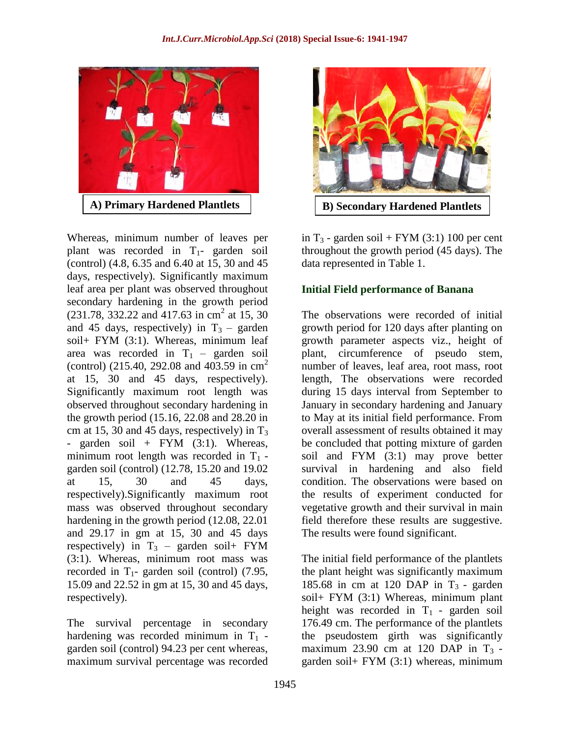

Whereas, minimum number of leaves per plant was recorded in  $T_1$ - garden soil (control) (4.8, 6.35 and 6.40 at 15, 30 and 45 days, respectively). Significantly maximum leaf area per plant was observed throughout secondary hardening in the growth period  $(231.78, 332.22 \text{ and } 417.63 \text{ in } \text{cm}^2 \text{ at } 15, 30)$ and 45 days, respectively) in  $T_3$  – garden soil+ FYM (3:1). Whereas, minimum leaf area was recorded in  $T_1$  – garden soil (control) (215.40, 292.08 and 403.59 in cm<sup>2</sup> at 15, 30 and 45 days, respectively). Significantly maximum root length was observed throughout secondary hardening in the growth period (15.16, 22.08 and 28.20 in cm at 15, 30 and 45 days, respectively) in  $T_3$ - garden soil +  $FYM$  (3:1). Whereas, minimum root length was recorded in  $T_1$  garden soil (control) (12.78, 15.20 and 19.02 at 15, 30 and 45 days, respectively).Significantly maximum root mass was observed throughout secondary hardening in the growth period (12.08, 22.01 and 29.17 in gm at 15, 30 and 45 days respectively) in  $T_3$  – garden soil+ FYM (3:1). Whereas, minimum root mass was recorded in  $T_1$ - garden soil (control) (7.95, 15.09 and 22.52 in gm at 15, 30 and 45 days, respectively).

The survival percentage in secondary hardening was recorded minimum in  $T_1$  garden soil (control) 94.23 per cent whereas, maximum survival percentage was recorded



in  $T_3$  - garden soil + FYM (3:1) 100 per cent throughout the growth period (45 days). The data represented in Table 1.

#### **Initial Field performance of Banana**

The observations were recorded of initial growth period for 120 days after planting on growth parameter aspects viz., height of plant, circumference of pseudo stem, number of leaves, leaf area, root mass, root length, The observations were recorded during 15 days interval from September to January in secondary hardening and January to May at its initial field performance. From overall assessment of results obtained it may be concluded that potting mixture of garden soil and FYM (3:1) may prove better survival in hardening and also field condition. The observations were based on the results of experiment conducted for vegetative growth and their survival in main field therefore these results are suggestive. The results were found significant.

The initial field performance of the plantlets the plant height was significantly maximum 185.68 in cm at 120 DAP in  $T_3$  - garden soil+ FYM (3:1) Whereas, minimum plant height was recorded in  $T_1$  - garden soil 176.49 cm. The performance of the plantlets the pseudostem girth was significantly maximum 23.90 cm at 120 DAP in  $T_3$  garden soil+ FYM (3:1) whereas, minimum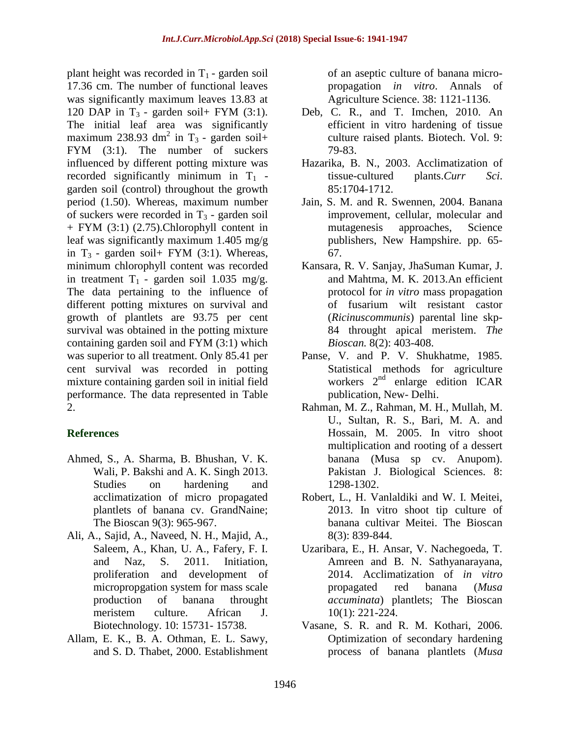plant height was recorded in  $T_1$  - garden soil 17.36 cm. The number of functional leaves was significantly maximum leaves 13.83 at 120 DAP in  $T_3$  - garden soil+ FYM (3:1). The initial leaf area was significantly maximum 238.93 dm<sup>2</sup> in T<sub>3</sub> - garden soil+ FYM (3:1). The number of suckers influenced by different potting mixture was recorded significantly minimum in  $T_1$  garden soil (control) throughout the growth period (1.50). Whereas, maximum number of suckers were recorded in  $T_3$  - garden soil + FYM (3:1) (2.75).Chlorophyll content in leaf was significantly maximum 1.405 mg/g in  $T_3$  - garden soil + FYM (3:1). Whereas, minimum chlorophyll content was recorded in treatment  $T_1$  - garden soil 1.035 mg/g. The data pertaining to the influence of different potting mixtures on survival and growth of plantlets are 93.75 per cent survival was obtained in the potting mixture containing garden soil and FYM (3:1) which was superior to all treatment. Only 85.41 per cent survival was recorded in potting mixture containing garden soil in initial field performance. The data represented in Table 2.

# **References**

- Ahmed, S., A. Sharma, B. Bhushan, V. K. Wali, P. Bakshi and A. K. Singh 2013. Studies on hardening and acclimatization of micro propagated plantlets of banana cv. GrandNaine; The Bioscan 9(3): 965-967.
- Ali, A., Sajid, A., Naveed, N. H., Majid, A., Saleem, A., Khan, U. A., Fafery, F. I. and Naz, S. 2011. Initiation, proliferation and development of micropropgation system for mass scale production of banana throught meristem culture. African J. Biotechnology. 10: 15731- 15738.
- Allam, E. K., B. A. Othman, E. L. Sawy, and S. D. Thabet, 2000. Establishment

of an aseptic culture of banana micropropagation *in vitro*. Annals of Agriculture Science. 38: 1121-1136.

- Deb, C. R., and T. Imchen, 2010. An efficient in vitro hardening of tissue culture raised plants. Biotech. Vol. 9: 79-83.
- Hazarika, B. N., 2003. Acclimatization of tissue-cultured plants.*Curr Sci*. 85:1704-1712.
- Jain, S. M. and R. Swennen, 2004. Banana improvement, cellular, molecular and mutagenesis approaches, Science publishers, New Hampshire. pp. 65- 67.
- Kansara, R. V. Sanjay, JhaSuman Kumar, J. and Mahtma, M. K. 2013.An efficient protocol for *in vitro* mass propagation of fusarium wilt resistant castor (*Ricinuscommunis*) parental line skp-84 throught apical meristem. *The Bioscan.* 8(2): 403-408.
- Panse, V. and P. V. Shukhatme, 1985. Statistical methods for agriculture workers 2<sup>nd</sup> enlarge edition ICAR publication, New- Delhi.
- Rahman, M. Z., Rahman, M. H., Mullah, M. U., Sultan, R. S., Bari, M. A. and Hossain, M. 2005. In vitro shoot multiplication and rooting of a dessert banana (Musa sp cv. Anupom). Pakistan J. Biological Sciences. 8: 1298-1302.
- Robert, L., H. Vanlaldiki and W. I. Meitei, 2013. In vitro shoot tip culture of banana cultivar Meitei. The Bioscan 8(3): 839-844.
- Uzaribara, E., H. Ansar, V. Nachegoeda, T. Amreen and B. N. Sathyanarayana, 2014. Acclimatization of *in vitro* propagated red banana (*Musa accuminata*) plantlets; The Bioscan 10(1): 221-224.
- Vasane, S. R. and R. M. Kothari, 2006. Optimization of secondary hardening process of banana plantlets (*Musa*